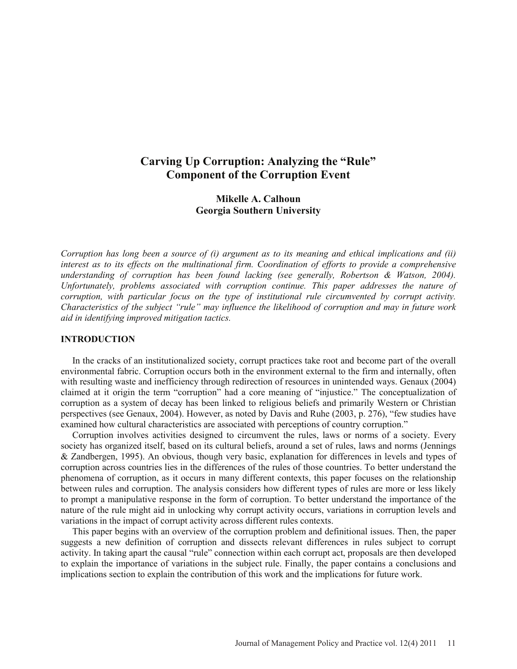# **Carving Up Corruption: Analyzing the "Rule" Component of the Corruption Event**

# **Mikelle A. Calhoun Georgia Southern University**

*Corruption has long been a source of (i) argument as to its meaning and ethical implications and (ii) interest as to its effects on the multinational firm. Coordination of efforts to provide a comprehensive understanding of corruption has been found lacking (see generally, Robertson & Watson, 2004). Unfortunately, problems associated with corruption continue. This paper addresses the nature of corruption, with particular focus on the type of institutional rule circumvented by corrupt activity. Characteristics of the subject "rule" may influence the likelihood of corruption and may in future work aid in identifying improved mitigation tactics.* 

# **INTRODUCTION**

 In the cracks of an institutionalized society, corrupt practices take root and become part of the overall environmental fabric. Corruption occurs both in the environment external to the firm and internally, often with resulting waste and inefficiency through redirection of resources in unintended ways. Genaux (2004) claimed at it origin the term "corruption" had a core meaning of "injustice." The conceptualization of corruption as a system of decay has been linked to religious beliefs and primarily Western or Christian perspectives (see Genaux, 2004). However, as noted by Davis and Ruhe (2003, p. 276), "few studies have examined how cultural characteristics are associated with perceptions of country corruption."

 Corruption involves activities designed to circumvent the rules, laws or norms of a society. Every society has organized itself, based on its cultural beliefs, around a set of rules, laws and norms (Jennings & Zandbergen, 1995). An obvious, though very basic, explanation for differences in levels and types of corruption across countries lies in the differences of the rules of those countries. To better understand the phenomena of corruption, as it occurs in many different contexts, this paper focuses on the relationship between rules and corruption. The analysis considers how different types of rules are more or less likely to prompt a manipulative response in the form of corruption. To better understand the importance of the nature of the rule might aid in unlocking why corrupt activity occurs, variations in corruption levels and variations in the impact of corrupt activity across different rules contexts.

 This paper begins with an overview of the corruption problem and definitional issues. Then, the paper suggests a new definition of corruption and dissects relevant differences in rules subject to corrupt activity. In taking apart the causal "rule" connection within each corrupt act, proposals are then developed to explain the importance of variations in the subject rule. Finally, the paper contains a conclusions and implications section to explain the contribution of this work and the implications for future work.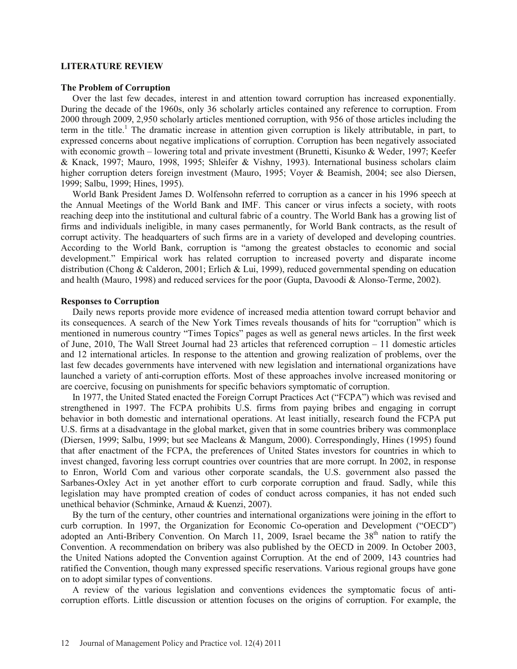#### **LITERATURE REVIEW**

#### **The Problem of Corruption**

 Over the last few decades, interest in and attention toward corruption has increased exponentially. During the decade of the 1960s, only 36 scholarly articles contained any reference to corruption. From 2000 through 2009, 2,950 scholarly articles mentioned corruption, with 956 of those articles including the term in the title.<sup>1</sup> The dramatic increase in attention given corruption is likely attributable, in part, to expressed concerns about negative implications of corruption. Corruption has been negatively associated with economic growth – lowering total and private investment (Brunetti, Kisunko & Weder, 1997; Keefer & Knack, 1997; Mauro, 1998, 1995; Shleifer & Vishny, 1993). International business scholars claim higher corruption deters foreign investment (Mauro, 1995; Voyer & Beamish, 2004; see also Diersen, 1999; Salbu, 1999; Hines, 1995).

 World Bank President James D. Wolfensohn referred to corruption as a cancer in his 1996 speech at the Annual Meetings of the World Bank and IMF. This cancer or virus infects a society, with roots reaching deep into the institutional and cultural fabric of a country. The World Bank has a growing list of firms and individuals ineligible, in many cases permanently, for World Bank contracts, as the result of corrupt activity. The headquarters of such firms are in a variety of developed and developing countries. According to the World Bank, corruption is "among the greatest obstacles to economic and social development." Empirical work has related corruption to increased poverty and disparate income distribution (Chong & Calderon, 2001; Erlich & Lui, 1999), reduced governmental spending on education and health (Mauro, 1998) and reduced services for the poor (Gupta, Davoodi & Alonso-Terme, 2002).

### **Responses to Corruption**

 Daily news reports provide more evidence of increased media attention toward corrupt behavior and its consequences. A search of the New York Times reveals thousands of hits for "corruption" which is mentioned in numerous country "Times Topics" pages as well as general news articles. In the first week of June, 2010, The Wall Street Journal had 23 articles that referenced corruption – 11 domestic articles and 12 international articles. In response to the attention and growing realization of problems, over the last few decades governments have intervened with new legislation and international organizations have launched a variety of anti-corruption efforts. Most of these approaches involve increased monitoring or are coercive, focusing on punishments for specific behaviors symptomatic of corruption.

 In 1977, the United Stated enacted the Foreign Corrupt Practices Act ("FCPA") which was revised and strengthened in 1997. The FCPA prohibits U.S. firms from paying bribes and engaging in corrupt behavior in both domestic and international operations. At least initially, research found the FCPA put U.S. firms at a disadvantage in the global market, given that in some countries bribery was commonplace (Diersen, 1999; Salbu, 1999; but see Macleans & Mangum, 2000). Correspondingly, Hines (1995) found that after enactment of the FCPA, the preferences of United States investors for countries in which to invest changed, favoring less corrupt countries over countries that are more corrupt. In 2002, in response to Enron, World Com and various other corporate scandals, the U.S. government also passed the Sarbanes-Oxley Act in yet another effort to curb corporate corruption and fraud. Sadly, while this legislation may have prompted creation of codes of conduct across companies, it has not ended such unethical behavior (Schminke, Arnaud & Kuenzi, 2007).

 By the turn of the century, other countries and international organizations were joining in the effort to curb corruption. In 1997, the Organization for Economic Co-operation and Development ("OECD") adopted an Anti-Bribery Convention. On March 11, 2009, Israel became the 38<sup>th</sup> nation to ratify the Convention. A recommendation on bribery was also published by the OECD in 2009. In October 2003, the United Nations adopted the Convention against Corruption. At the end of 2009, 143 countries had ratified the Convention, though many expressed specific reservations. Various regional groups have gone on to adopt similar types of conventions.

 A review of the various legislation and conventions evidences the symptomatic focus of anticorruption efforts. Little discussion or attention focuses on the origins of corruption. For example, the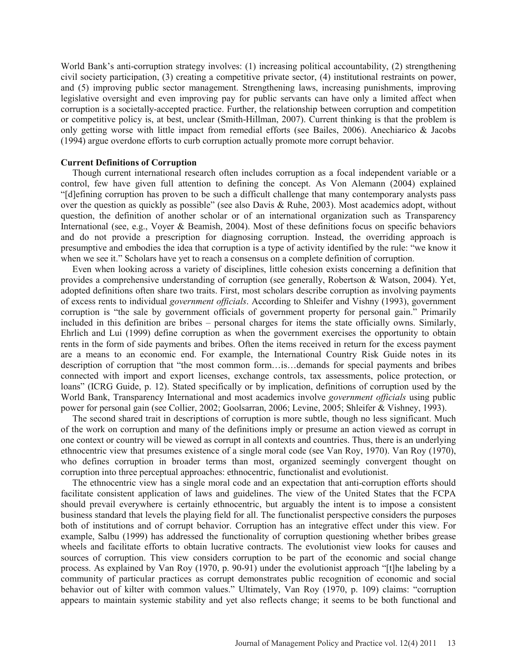World Bank's anti-corruption strategy involves: (1) increasing political accountability, (2) strengthening civil society participation, (3) creating a competitive private sector, (4) institutional restraints on power, and (5) improving public sector management. Strengthening laws, increasing punishments, improving legislative oversight and even improving pay for public servants can have only a limited affect when corruption is a societally-accepted practice. Further, the relationship between corruption and competition or competitive policy is, at best, unclear (Smith-Hillman, 2007). Current thinking is that the problem is only getting worse with little impact from remedial efforts (see Bailes, 2006). Anechiarico & Jacobs (1994) argue overdone efforts to curb corruption actually promote more corrupt behavior.

#### **Current Definitions of Corruption**

 Though current international research often includes corruption as a focal independent variable or a control, few have given full attention to defining the concept. As Von Alemann (2004) explained "[d]efining corruption has proven to be such a difficult challenge that many contemporary analysts pass over the question as quickly as possible" (see also Davis & Ruhe, 2003). Most academics adopt, without question, the definition of another scholar or of an international organization such as Transparency International (see, e.g., Voyer & Beamish, 2004). Most of these definitions focus on specific behaviors and do not provide a prescription for diagnosing corruption. Instead, the overriding approach is presumptive and embodies the idea that corruption is a type of activity identified by the rule: "we know it when we see it." Scholars have yet to reach a consensus on a complete definition of corruption.

 Even when looking across a variety of disciplines, little cohesion exists concerning a definition that provides a comprehensive understanding of corruption (see generally, Robertson & Watson, 2004). Yet, adopted definitions often share two traits. First, most scholars describe corruption as involving payments of excess rents to individual *government officials*. According to Shleifer and Vishny (1993), government corruption is "the sale by government officials of government property for personal gain." Primarily included in this definition are bribes – personal charges for items the state officially owns. Similarly, Ehrlich and Lui (1999) define corruption as when the government exercises the opportunity to obtain rents in the form of side payments and bribes. Often the items received in return for the excess payment are a means to an economic end. For example, the International Country Risk Guide notes in its description of corruption that "the most common form…is…demands for special payments and bribes connected with import and export licenses, exchange controls, tax assessments, police protection, or loans" (ICRG Guide, p. 12). Stated specifically or by implication, definitions of corruption used by the World Bank, Transparency International and most academics involve *government officials* using public power for personal gain (see Collier, 2002; Goolsarran, 2006; Levine, 2005; Shleifer & Vishney, 1993).

 The second shared trait in descriptions of corruption is more subtle, though no less significant. Much of the work on corruption and many of the definitions imply or presume an action viewed as corrupt in one context or country will be viewed as corrupt in all contexts and countries. Thus, there is an underlying ethnocentric view that presumes existence of a single moral code (see Van Roy, 1970). Van Roy (1970), who defines corruption in broader terms than most, organized seemingly convergent thought on corruption into three perceptual approaches: ethnocentric, functionalist and evolutionist.

 The ethnocentric view has a single moral code and an expectation that anti-corruption efforts should facilitate consistent application of laws and guidelines. The view of the United States that the FCPA should prevail everywhere is certainly ethnocentric, but arguably the intent is to impose a consistent business standard that levels the playing field for all. The functionalist perspective considers the purposes both of institutions and of corrupt behavior. Corruption has an integrative effect under this view. For example, Salbu (1999) has addressed the functionality of corruption questioning whether bribes grease wheels and facilitate efforts to obtain lucrative contracts. The evolutionist view looks for causes and sources of corruption. This view considers corruption to be part of the economic and social change process. As explained by Van Roy (1970, p. 90-91) under the evolutionist approach "[t]he labeling by a community of particular practices as corrupt demonstrates public recognition of economic and social behavior out of kilter with common values." Ultimately, Van Roy (1970, p. 109) claims: "corruption appears to maintain systemic stability and yet also reflects change; it seems to be both functional and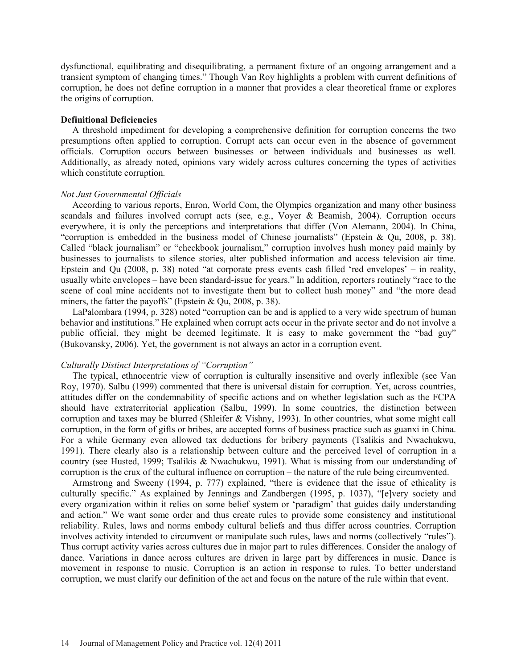dysfunctional, equilibrating and disequilibrating, a permanent fixture of an ongoing arrangement and a transient symptom of changing times." Though Van Roy highlights a problem with current definitions of corruption, he does not define corruption in a manner that provides a clear theoretical frame or explores the origins of corruption.

#### **Definitional Deficiencies**

 A threshold impediment for developing a comprehensive definition for corruption concerns the two presumptions often applied to corruption. Corrupt acts can occur even in the absence of government officials. Corruption occurs between businesses or between individuals and businesses as well. Additionally, as already noted, opinions vary widely across cultures concerning the types of activities which constitute corruption.

# *Not Just Governmental Officials*

 According to various reports, Enron, World Com, the Olympics organization and many other business scandals and failures involved corrupt acts (see, e.g., Voyer & Beamish, 2004). Corruption occurs everywhere, it is only the perceptions and interpretations that differ (Von Alemann, 2004). In China, "corruption is embedded in the business model of Chinese journalists" (Epstein & Qu, 2008, p. 38). Called "black journalism" or "checkbook journalism," corruption involves hush money paid mainly by businesses to journalists to silence stories, alter published information and access television air time. Epstein and Qu (2008, p. 38) noted "at corporate press events cash filled 'red envelopes' – in reality, usually white envelopes – have been standard-issue for years." In addition, reporters routinely "race to the scene of coal mine accidents not to investigate them but to collect hush money" and "the more dead miners, the fatter the payoffs" (Epstein & Qu, 2008, p. 38).

 LaPalombara (1994, p. 328) noted "corruption can be and is applied to a very wide spectrum of human behavior and institutions." He explained when corrupt acts occur in the private sector and do not involve a public official, they might be deemed legitimate. It is easy to make government the "bad guy" (Bukovansky, 2006). Yet, the government is not always an actor in a corruption event.

#### *Culturally Distinct Interpretations of "Corruption"*

 The typical, ethnocentric view of corruption is culturally insensitive and overly inflexible (see Van Roy, 1970). Salbu (1999) commented that there is universal distain for corruption. Yet, across countries, attitudes differ on the condemnability of specific actions and on whether legislation such as the FCPA should have extraterritorial application (Salbu, 1999). In some countries, the distinction between corruption and taxes may be blurred (Shleifer & Vishny, 1993). In other countries, what some might call corruption, in the form of gifts or bribes, are accepted forms of business practice such as guanxi in China. For a while Germany even allowed tax deductions for bribery payments (Tsalikis and Nwachukwu, 1991). There clearly also is a relationship between culture and the perceived level of corruption in a country (see Husted, 1999; Tsalikis & Nwachukwu, 1991). What is missing from our understanding of corruption is the crux of the cultural influence on corruption – the nature of the rule being circumvented.

 Armstrong and Sweeny (1994, p. 777) explained, "there is evidence that the issue of ethicality is culturally specific." As explained by Jennings and Zandbergen (1995, p. 1037), "[e]very society and every organization within it relies on some belief system or 'paradigm' that guides daily understanding and action." We want some order and thus create rules to provide some consistency and institutional reliability. Rules, laws and norms embody cultural beliefs and thus differ across countries. Corruption involves activity intended to circumvent or manipulate such rules, laws and norms (collectively "rules"). Thus corrupt activity varies across cultures due in major part to rules differences. Consider the analogy of dance. Variations in dance across cultures are driven in large part by differences in music. Dance is movement in response to music. Corruption is an action in response to rules. To better understand corruption, we must clarify our definition of the act and focus on the nature of the rule within that event.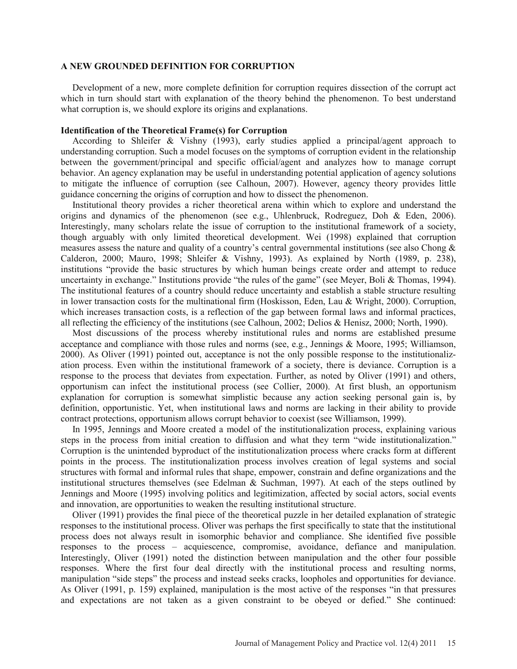#### **A NEW GROUNDED DEFINITION FOR CORRUPTION**

 Development of a new, more complete definition for corruption requires dissection of the corrupt act which in turn should start with explanation of the theory behind the phenomenon. To best understand what corruption is, we should explore its origins and explanations.

### **Identification of the Theoretical Frame(s) for Corruption**

 According to Shleifer & Vishny (1993), early studies applied a principal/agent approach to understanding corruption. Such a model focuses on the symptoms of corruption evident in the relationship between the government/principal and specific official/agent and analyzes how to manage corrupt behavior. An agency explanation may be useful in understanding potential application of agency solutions to mitigate the influence of corruption (see Calhoun, 2007). However, agency theory provides little guidance concerning the origins of corruption and how to dissect the phenomenon.

 Institutional theory provides a richer theoretical arena within which to explore and understand the origins and dynamics of the phenomenon (see e.g., Uhlenbruck, Rodreguez, Doh & Eden, 2006). Interestingly, many scholars relate the issue of corruption to the institutional framework of a society, though arguably with only limited theoretical development. Wei (1998) explained that corruption measures assess the nature and quality of a country's central governmental institutions (see also Chong & Calderon, 2000; Mauro, 1998; Shleifer & Vishny, 1993). As explained by North (1989, p. 238), institutions "provide the basic structures by which human beings create order and attempt to reduce uncertainty in exchange." Institutions provide "the rules of the game" (see Meyer, Boli & Thomas, 1994). The institutional features of a country should reduce uncertainty and establish a stable structure resulting in lower transaction costs for the multinational firm (Hoskisson, Eden, Lau & Wright, 2000). Corruption, which increases transaction costs, is a reflection of the gap between formal laws and informal practices, all reflecting the efficiency of the institutions (see Calhoun, 2002; Delios & Henisz, 2000; North, 1990).

 Most discussions of the process whereby institutional rules and norms are established presume acceptance and compliance with those rules and norms (see, e.g., Jennings & Moore, 1995; Williamson, 2000). As Oliver (1991) pointed out, acceptance is not the only possible response to the institutionalization process. Even within the institutional framework of a society, there is deviance. Corruption is a response to the process that deviates from expectation. Further, as noted by Oliver (1991) and others, opportunism can infect the institutional process (see Collier, 2000). At first blush, an opportunism explanation for corruption is somewhat simplistic because any action seeking personal gain is, by definition, opportunistic. Yet, when institutional laws and norms are lacking in their ability to provide contract protections, opportunism allows corrupt behavior to coexist (see Williamson, 1999).

 In 1995, Jennings and Moore created a model of the institutionalization process, explaining various steps in the process from initial creation to diffusion and what they term "wide institutionalization." Corruption is the unintended byproduct of the institutionalization process where cracks form at different points in the process. The institutionalization process involves creation of legal systems and social structures with formal and informal rules that shape, empower, constrain and define organizations and the institutional structures themselves (see Edelman & Suchman, 1997). At each of the steps outlined by Jennings and Moore (1995) involving politics and legitimization, affected by social actors, social events and innovation, are opportunities to weaken the resulting institutional structure.

 Oliver (1991) provides the final piece of the theoretical puzzle in her detailed explanation of strategic responses to the institutional process. Oliver was perhaps the first specifically to state that the institutional process does not always result in isomorphic behavior and compliance. She identified five possible responses to the process – acquiescence, compromise, avoidance, defiance and manipulation. Interestingly, Oliver (1991) noted the distinction between manipulation and the other four possible responses. Where the first four deal directly with the institutional process and resulting norms, manipulation "side steps" the process and instead seeks cracks, loopholes and opportunities for deviance. As Oliver (1991, p. 159) explained, manipulation is the most active of the responses "in that pressures and expectations are not taken as a given constraint to be obeyed or defied." She continued: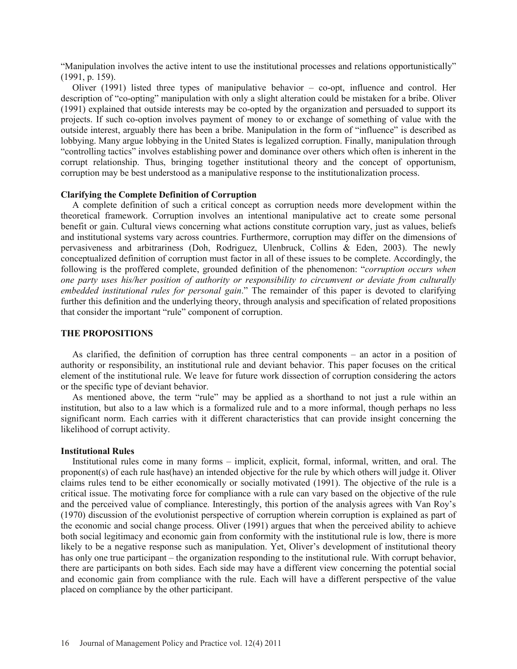"Manipulation involves the active intent to use the institutional processes and relations opportunistically" (1991, p. 159).

 Oliver (1991) listed three types of manipulative behavior – co-opt, influence and control. Her description of "co-opting" manipulation with only a slight alteration could be mistaken for a bribe. Oliver (1991) explained that outside interests may be co-opted by the organization and persuaded to support its projects. If such co-option involves payment of money to or exchange of something of value with the outside interest, arguably there has been a bribe. Manipulation in the form of "influence" is described as lobbying. Many argue lobbying in the United States is legalized corruption. Finally, manipulation through "controlling tactics" involves establishing power and dominance over others which often is inherent in the corrupt relationship. Thus, bringing together institutional theory and the concept of opportunism, corruption may be best understood as a manipulative response to the institutionalization process.

# **Clarifying the Complete Definition of Corruption**

 A complete definition of such a critical concept as corruption needs more development within the theoretical framework. Corruption involves an intentional manipulative act to create some personal benefit or gain. Cultural views concerning what actions constitute corruption vary, just as values, beliefs and institutional systems vary across countries. Furthermore, corruption may differ on the dimensions of pervasiveness and arbitrariness (Doh, Rodriguez, Ulenbruck, Collins & Eden, 2003). The newly conceptualized definition of corruption must factor in all of these issues to be complete. Accordingly, the following is the proffered complete, grounded definition of the phenomenon: "*corruption occurs when one party uses his/her position of authority or responsibility to circumvent or deviate from culturally embedded institutional rules for personal gain*." The remainder of this paper is devoted to clarifying further this definition and the underlying theory, through analysis and specification of related propositions that consider the important "rule" component of corruption.

# **THE PROPOSITIONS**

 As clarified, the definition of corruption has three central components – an actor in a position of authority or responsibility, an institutional rule and deviant behavior. This paper focuses on the critical element of the institutional rule. We leave for future work dissection of corruption considering the actors or the specific type of deviant behavior.

 As mentioned above, the term "rule" may be applied as a shorthand to not just a rule within an institution, but also to a law which is a formalized rule and to a more informal, though perhaps no less significant norm. Each carries with it different characteristics that can provide insight concerning the likelihood of corrupt activity.

# **Institutional Rules**

 Institutional rules come in many forms – implicit, explicit, formal, informal, written, and oral. The proponent(s) of each rule has(have) an intended objective for the rule by which others will judge it. Oliver claims rules tend to be either economically or socially motivated (1991). The objective of the rule is a critical issue. The motivating force for compliance with a rule can vary based on the objective of the rule and the perceived value of compliance. Interestingly, this portion of the analysis agrees with Van Roy's (1970) discussion of the evolutionist perspective of corruption wherein corruption is explained as part of the economic and social change process. Oliver (1991) argues that when the perceived ability to achieve both social legitimacy and economic gain from conformity with the institutional rule is low, there is more likely to be a negative response such as manipulation. Yet, Oliver's development of institutional theory has only one true participant – the organization responding to the institutional rule. With corrupt behavior, there are participants on both sides. Each side may have a different view concerning the potential social and economic gain from compliance with the rule. Each will have a different perspective of the value placed on compliance by the other participant.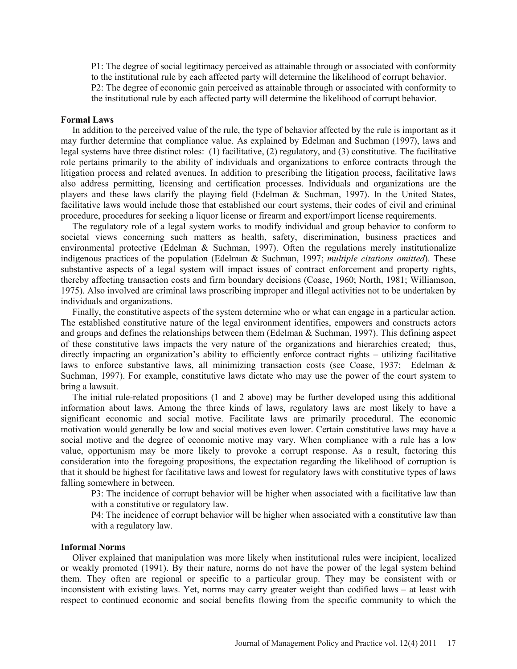P1: The degree of social legitimacy perceived as attainable through or associated with conformity to the institutional rule by each affected party will determine the likelihood of corrupt behavior. P2: The degree of economic gain perceived as attainable through or associated with conformity to the institutional rule by each affected party will determine the likelihood of corrupt behavior.

#### **Formal Laws**

 In addition to the perceived value of the rule, the type of behavior affected by the rule is important as it may further determine that compliance value. As explained by Edelman and Suchman (1997), laws and legal systems have three distinct roles: (1) facilitative, (2) regulatory, and (3) constitutive. The facilitative role pertains primarily to the ability of individuals and organizations to enforce contracts through the litigation process and related avenues. In addition to prescribing the litigation process, facilitative laws also address permitting, licensing and certification processes. Individuals and organizations are the players and these laws clarify the playing field (Edelman & Suchman, 1997). In the United States, facilitative laws would include those that established our court systems, their codes of civil and criminal procedure, procedures for seeking a liquor license or firearm and export/import license requirements.

 The regulatory role of a legal system works to modify individual and group behavior to conform to societal views concerning such matters as health, safety, discrimination, business practices and environmental protective (Edelman & Suchman, 1997). Often the regulations merely institutionalize indigenous practices of the population (Edelman & Suchman, 1997; *multiple citations omitted*). These substantive aspects of a legal system will impact issues of contract enforcement and property rights, thereby affecting transaction costs and firm boundary decisions (Coase, 1960; North, 1981; Williamson, 1975). Also involved are criminal laws proscribing improper and illegal activities not to be undertaken by individuals and organizations.

 Finally, the constitutive aspects of the system determine who or what can engage in a particular action. The established constitutive nature of the legal environment identifies, empowers and constructs actors and groups and defines the relationships between them (Edelman & Suchman, 1997). This defining aspect of these constitutive laws impacts the very nature of the organizations and hierarchies created; thus, directly impacting an organization's ability to efficiently enforce contract rights – utilizing facilitative laws to enforce substantive laws, all minimizing transaction costs (see Coase, 1937; Edelman & Suchman, 1997). For example, constitutive laws dictate who may use the power of the court system to bring a lawsuit.

 The initial rule-related propositions (1 and 2 above) may be further developed using this additional information about laws. Among the three kinds of laws, regulatory laws are most likely to have a significant economic and social motive. Facilitate laws are primarily procedural. The economic motivation would generally be low and social motives even lower. Certain constitutive laws may have a social motive and the degree of economic motive may vary. When compliance with a rule has a low value, opportunism may be more likely to provoke a corrupt response. As a result, factoring this consideration into the foregoing propositions, the expectation regarding the likelihood of corruption is that it should be highest for facilitative laws and lowest for regulatory laws with constitutive types of laws falling somewhere in between.

P3: The incidence of corrupt behavior will be higher when associated with a facilitative law than with a constitutive or regulatory law.

P4: The incidence of corrupt behavior will be higher when associated with a constitutive law than with a regulatory law.

# **Informal Norms**

 Oliver explained that manipulation was more likely when institutional rules were incipient, localized or weakly promoted (1991). By their nature, norms do not have the power of the legal system behind them. They often are regional or specific to a particular group. They may be consistent with or inconsistent with existing laws. Yet, norms may carry greater weight than codified laws – at least with respect to continued economic and social benefits flowing from the specific community to which the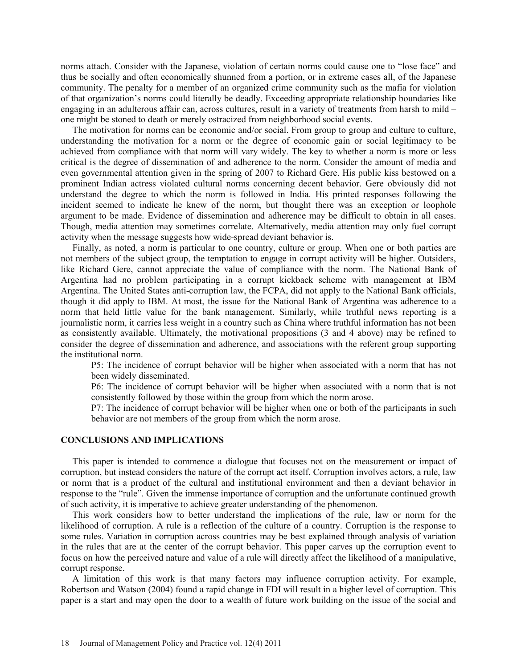norms attach. Consider with the Japanese, violation of certain norms could cause one to "lose face" and thus be socially and often economically shunned from a portion, or in extreme cases all, of the Japanese community. The penalty for a member of an organized crime community such as the mafia for violation of that organization's norms could literally be deadly. Exceeding appropriate relationship boundaries like engaging in an adulterous affair can, across cultures, result in a variety of treatments from harsh to mild – one might be stoned to death or merely ostracized from neighborhood social events.

The motivation for norms can be economic and/or social. From group to group and culture to culture, understanding the motivation for a norm or the degree of economic gain or social legitimacy to be achieved from compliance with that norm will vary widely. The key to whether a norm is more or less critical is the degree of dissemination of and adherence to the norm. Consider the amount of media and even governmental attention given in the spring of 2007 to Richard Gere. His public kiss bestowed on a prominent Indian actress violated cultural norms concerning decent behavior. Gere obviously did not understand the degree to which the norm is followed in India. His printed responses following the incident seemed to indicate he knew of the norm, but thought there was an exception or loophole argument to be made. Evidence of dissemination and adherence may be difficult to obtain in all cases. Though, media attention may sometimes correlate. Alternatively, media attention may only fuel corrupt activity when the message suggests how wide-spread deviant behavior is.

 Finally, as noted, a norm is particular to one country, culture or group. When one or both parties are not members of the subject group, the temptation to engage in corrupt activity will be higher. Outsiders, like Richard Gere, cannot appreciate the value of compliance with the norm. The National Bank of Argentina had no problem participating in a corrupt kickback scheme with management at IBM Argentina. The United States anti-corruption law, the FCPA, did not apply to the National Bank officials, though it did apply to IBM. At most, the issue for the National Bank of Argentina was adherence to a norm that held little value for the bank management. Similarly, while truthful news reporting is a journalistic norm, it carries less weight in a country such as China where truthful information has not been as consistently available. Ultimately, the motivational propositions (3 and 4 above) may be refined to consider the degree of dissemination and adherence, and associations with the referent group supporting the institutional norm.

P5: The incidence of corrupt behavior will be higher when associated with a norm that has not been widely disseminated.

P6: The incidence of corrupt behavior will be higher when associated with a norm that is not consistently followed by those within the group from which the norm arose.

P7: The incidence of corrupt behavior will be higher when one or both of the participants in such behavior are not members of the group from which the norm arose.

### **CONCLUSIONS AND IMPLICATIONS**

 This paper is intended to commence a dialogue that focuses not on the measurement or impact of corruption, but instead considers the nature of the corrupt act itself. Corruption involves actors, a rule, law or norm that is a product of the cultural and institutional environment and then a deviant behavior in response to the "rule". Given the immense importance of corruption and the unfortunate continued growth of such activity, it is imperative to achieve greater understanding of the phenomenon.

 This work considers how to better understand the implications of the rule, law or norm for the likelihood of corruption. A rule is a reflection of the culture of a country. Corruption is the response to some rules. Variation in corruption across countries may be best explained through analysis of variation in the rules that are at the center of the corrupt behavior. This paper carves up the corruption event to focus on how the perceived nature and value of a rule will directly affect the likelihood of a manipulative, corrupt response.

 A limitation of this work is that many factors may influence corruption activity. For example, Robertson and Watson (2004) found a rapid change in FDI will result in a higher level of corruption. This paper is a start and may open the door to a wealth of future work building on the issue of the social and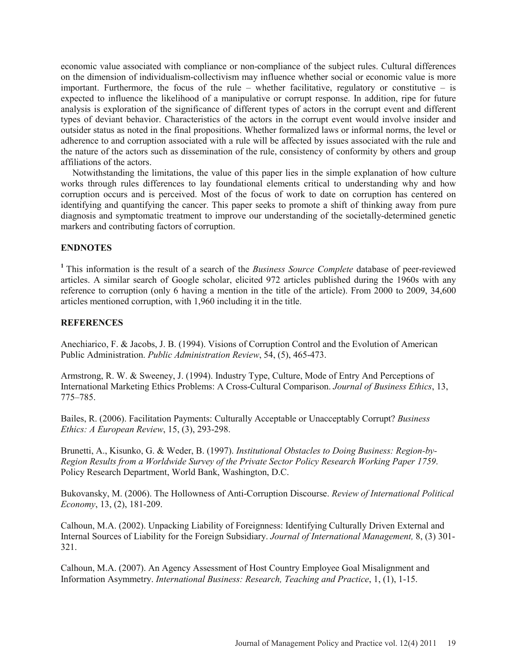economic value associated with compliance or non-compliance of the subject rules. Cultural differences on the dimension of individualism-collectivism may influence whether social or economic value is more important. Furthermore, the focus of the rule – whether facilitative, regulatory or constitutive – is expected to influence the likelihood of a manipulative or corrupt response. In addition, ripe for future analysis is exploration of the significance of different types of actors in the corrupt event and different types of deviant behavior. Characteristics of the actors in the corrupt event would involve insider and outsider status as noted in the final propositions. Whether formalized laws or informal norms, the level or adherence to and corruption associated with a rule will be affected by issues associated with the rule and the nature of the actors such as dissemination of the rule, consistency of conformity by others and group affiliations of the actors.

 Notwithstanding the limitations, the value of this paper lies in the simple explanation of how culture works through rules differences to lay foundational elements critical to understanding why and how corruption occurs and is perceived. Most of the focus of work to date on corruption has centered on identifying and quantifying the cancer. This paper seeks to promote a shift of thinking away from pure diagnosis and symptomatic treatment to improve our understanding of the societally-determined genetic markers and contributing factors of corruption.

# **ENDNOTES**

**<sup>1</sup>**This information is the result of a search of the *Business Source Complete* database of peer-reviewed articles. A similar search of Google scholar, elicited 972 articles published during the 1960s with any reference to corruption (only 6 having a mention in the title of the article). From 2000 to 2009, 34,600 articles mentioned corruption, with 1,960 including it in the title.

# **REFERENCES**

Anechiarico, F. & Jacobs, J. B. (1994). Visions of Corruption Control and the Evolution of American Public Administration. *Public Administration Review*, 54, (5), 465-473.

Armstrong, R. W. & Sweeney, J. (1994). Industry Type, Culture, Mode of Entry And Perceptions of International Marketing Ethics Problems: A Cross-Cultural Comparison. *Journal of Business Ethics*, 13, 775–785.

Bailes, R. (2006). Facilitation Payments: Culturally Acceptable or Unacceptably Corrupt? *Business Ethics: A European Review*, 15, (3), 293-298.

Brunetti, A., Kisunko, G. & Weder, B. (1997). *Institutional Obstacles to Doing Business: Region-by-Region Results from a Worldwide Survey of the Private Sector Policy Research Working Paper 1759*. Policy Research Department, World Bank, Washington, D.C.

Bukovansky, M. (2006). The Hollowness of Anti-Corruption Discourse. *Review of International Political Economy*, 13, (2), 181-209.

Calhoun, M.A. (2002). Unpacking Liability of Foreignness: Identifying Culturally Driven External and Internal Sources of Liability for the Foreign Subsidiary. *Journal of International Management,* 8, (3) 301- 321.

Calhoun, M.A. (2007). An Agency Assessment of Host Country Employee Goal Misalignment and Information Asymmetry. *International Business: Research, Teaching and Practice*, 1, (1), 1-15.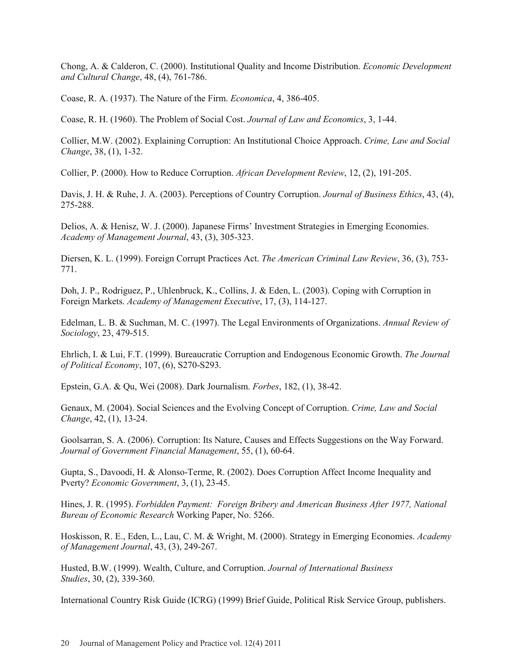Chong, A. & Calderon, C. (2000). Institutional Quality and Income Distribution. *Economic Development and Cultural Change*, 48, (4), 761-786.

Coase, R. A. (1937). The Nature of the Firm. *Economica*, 4, 386-405.

Coase, R. H. (1960). The Problem of Social Cost. *Journal of Law and Economics*, 3, 1-44.

Collier, M.W. (2002). Explaining Corruption: An Institutional Choice Approach. *Crime, Law and Social Change*, 38, (1), 1-32.

Collier, P. (2000). How to Reduce Corruption. *African Development Review*, 12, (2), 191-205.

Davis, J. H. & Ruhe, J. A. (2003). Perceptions of Country Corruption. *Journal of Business Ethics*, 43, (4), 275-288.

Delios, A. & Henisz, W. J. (2000). Japanese Firms' Investment Strategies in Emerging Economies. *Academy of Management Journal*, 43, (3), 305-323.

Diersen, K. L. (1999). Foreign Corrupt Practices Act. *The American Criminal Law Review*, 36, (3), 753- 771.

Doh, J. P., Rodriguez, P., Uhlenbruck, K., Collins, J. & Eden, L. (2003). Coping with Corruption in Foreign Markets. *Academy of Management Executive*, 17, (3), 114-127.

Edelman, L. B. & Suchman, M. C. (1997). The Legal Environments of Organizations. *Annual Review of Sociology*, 23, 479-515.

Ehrlich, I. & Lui, F.T. (1999). Bureaucratic Corruption and Endogenous Economic Growth. *The Journal of Political Economy*, 107, (6), S270-S293.

Epstein, G.A. & Qu, Wei (2008). Dark Journalism. *Forbes*, 182, (1), 38-42.

Genaux, M. (2004). Social Sciences and the Evolving Concept of Corruption. *Crime, Law and Social Change*, 42, (1), 13-24.

Goolsarran, S. A. (2006). Corruption: Its Nature, Causes and Effects Suggestions on the Way Forward. *Journal of Government Financial Management*, 55, (1), 60-64.

Gupta, S., Davoodi, H. & Alonso-Terme, R. (2002). Does Corruption Affect Income Inequality and Pverty? *Economic Government*, 3, (1), 23-45.

Hines, J. R. (1995). *Forbidden Payment: Foreign Bribery and American Business After 1977, National Bureau of Economic Research* Working Paper, No. 5266.

Hoskisson, R. E., Eden, L., Lau, C. M. & Wright, M. (2000). Strategy in Emerging Economies. *Academy of Management Journal*, 43, (3), 249-267.

Husted, B.W. (1999). Wealth, Culture, and Corruption. *Journal of International Business Studies*, 30, (2), 339-360.

International Country Risk Guide (ICRG) (1999) Brief Guide, Political Risk Service Group, publishers.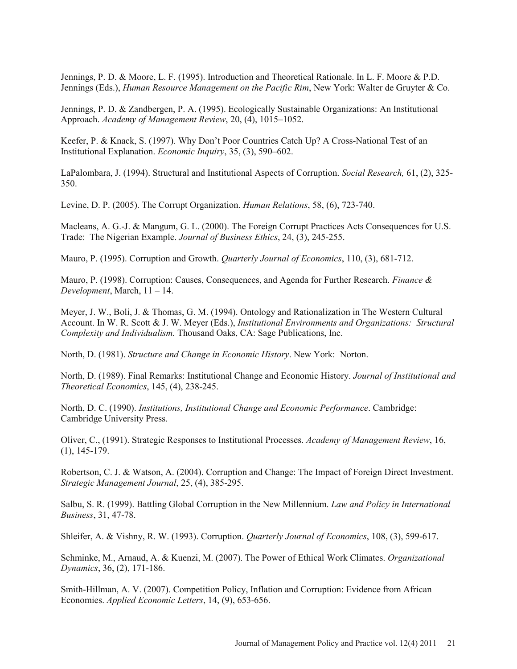Jennings, P. D. & Moore, L. F. (1995). Introduction and Theoretical Rationale. In L. F. Moore & P.D. Jennings (Eds.), *Human Resource Management on the Pacific Rim*, New York: Walter de Gruyter & Co.

Jennings, P. D. & Zandbergen, P. A. (1995). Ecologically Sustainable Organizations: An Institutional Approach. *Academy of Management Review*, 20, (4), 1015–1052.

Keefer, P. & Knack, S. (1997). Why Don't Poor Countries Catch Up? A Cross-National Test of an Institutional Explanation. *Economic Inquiry*, 35, (3), 590–602.

LaPalombara, J. (1994). Structural and Institutional Aspects of Corruption. *Social Research,* 61, (2), 325- 350.

Levine, D. P. (2005). The Corrupt Organization. *Human Relations*, 58, (6), 723-740.

Macleans, A. G.-J. & Mangum, G. L. (2000). The Foreign Corrupt Practices Acts Consequences for U.S. Trade: The Nigerian Example. *Journal of Business Ethics*, 24, (3), 245-255.

Mauro, P. (1995). Corruption and Growth. *Quarterly Journal of Economics*, 110, (3), 681-712.

Mauro, P. (1998). Corruption: Causes, Consequences, and Agenda for Further Research. *Finance & Development*, March, 11 – 14.

Meyer, J. W., Boli, J. & Thomas, G. M. (1994). Ontology and Rationalization in The Western Cultural Account. In W. R. Scott & J. W. Meyer (Eds.), *Institutional Environments and Organizations: Structural Complexity and Individualism.* Thousand Oaks, CA: Sage Publications, Inc.

North, D. (1981). *Structure and Change in Economic History*. New York: Norton.

North, D. (1989). Final Remarks: Institutional Change and Economic History. *Journal of Institutional and Theoretical Economics*, 145, (4), 238-245.

North, D. C. (1990). *Institutions, Institutional Change and Economic Performance*. Cambridge: Cambridge University Press.

Oliver, C., (1991). Strategic Responses to Institutional Processes. *Academy of Management Review*, 16, (1), 145-179.

Robertson, C. J. & Watson, A. (2004). Corruption and Change: The Impact of Foreign Direct Investment. *Strategic Management Journal*, 25, (4), 385-295.

Salbu, S. R. (1999). Battling Global Corruption in the New Millennium. *Law and Policy in International Business*, 31, 47-78.

Shleifer, A. & Vishny, R. W. (1993). Corruption. *Quarterly Journal of Economics*, 108, (3), 599-617.

Schminke, M., Arnaud, A. & Kuenzi, M. (2007). The Power of Ethical Work Climates. *Organizational Dynamics*, 36, (2), 171-186.

Smith-Hillman, A. V. (2007). Competition Policy, Inflation and Corruption: Evidence from African Economies. *Applied Economic Letters*, 14, (9), 653-656.